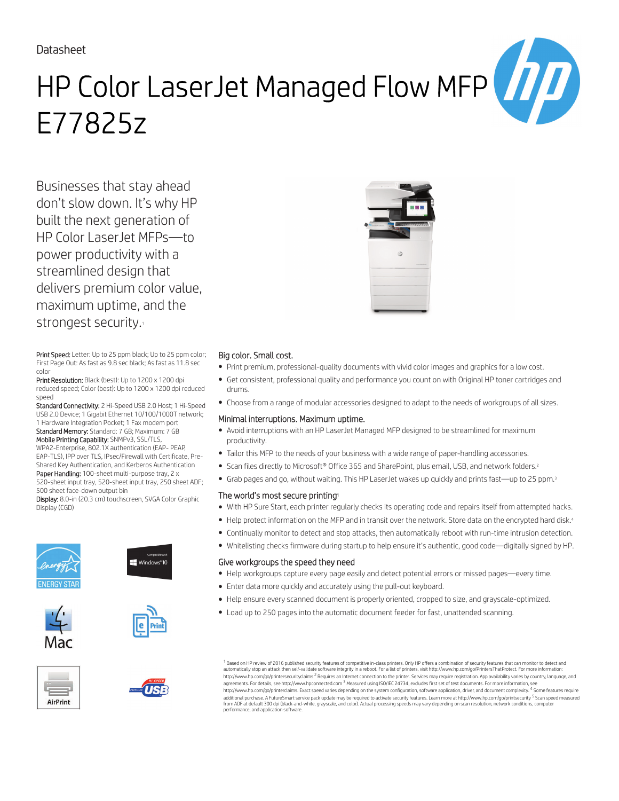## Datasheet

# HP Color LaserJet Managed Flow MFP E77825z

Businesses that stay ahead don't slow down. It's why HP built the next generation of HP Color LaserJet MFPs—to power productivity with a streamlined design that delivers premium color value, maximum uptime, and the strongest security.

Print Speed: Letter: Up to 25 ppm black; Up to 25 ppm color; First Page Out: As fast as 9.8 sec black; As fast as 11.8 sec color

Print Resolution: Black (best): Up to 1200 x 1200 dpi reduced speed; Color (best): Up to 1200 x 1200 dpi reduced speed

Standard Connectivity: 2 Hi-Speed USB 2.0 Host; 1 Hi-Speed USB 2.0 Device; 1 Gigabit Ethernet 10/100/1000T network; 1 Hardware Integration Pocket; 1 Fax modem port Standard Memory: Standard: 7 GB; Maximum: 7 GB

Mobile Printing Capability: SNMPv3, SSL/TLS, WPA2-Enterprise, 802.1X authentication (EAP- PEAP, EAP-TLS), IPP over TLS, IPsec/Firewall with Certificate, Pre-

Shared Key Authentication, and Kerberos Authentication Paper Handling: 100-sheet multi-purpose tray, 2 x 520-sheet input tray, 520-sheet input tray, 250 sheet ADF;

500 sheet face-down output bin Display: 8.0-in (20.3 cm) touchscreen, SVGA Color Graphic

Display (CGD)

















### Big color. Small cost.

- Print premium, professional-quality documents with vivid color images and graphics for a low cost.
- Get consistent, professional quality and performance you count on with Original HP toner cartridges and drums.
- Choose from a range of modular accessories designed to adapt to the needs of workgroups of all sizes.

#### Minimal interruptions. Maximum uptime.

- Avoid interruptions with an HP LaserJet Managed MFP designed to be streamlined for maximum productivity.
- Tailor this MFP to the needs of your business with a wide range of paper-handling accessories.
- Scan files directly to Microsoft® Office 365 and SharePoint, plus email, USB, and network folders.<sup>2</sup>
- Grab pages and go, without waiting. This HP LaserJet wakes up quickly and prints fast—up to 25 ppm.<sup>3</sup>

#### The world's most secure printing<sup>1</sup>

- With HP Sure Start, each printer regularly checks its operating code and repairs itself from attempted hacks.
- Help protect information on the MFP and in transit over the network. Store data on the encrypted hard disk.<sup>4</sup>
- Continually monitor to detect and stop attacks, then automatically reboot with run-time intrusion detection.
- Whitelisting checks firmware during startup to help ensure it's authentic, good code—digitally signed by HP.

#### Give workgroups the speed they need

- Help workgroups capture every page easily and detect potential errors or missed pages—every time.
- Enter data more quickly and accurately using the pull-out keyboard.
- Help ensure every scanned document is properly oriented, cropped to size, and grayscale-optimized.
- Load up to 250 pages into the automatic document feeder for fast, unattended scanning.

 $^{\rm 1}$  Based on HP review of 2016 published security features of competitive in-class printers. Only HP offers a combination of security features that can monitor to detect and automatically stop an attack then self-validate software integrity in a reboot. For a list of printers, visit http://www.hp.com/go/PrintersThatProtect. For more information:<br>http://www.hp.com/go/printersecurityclaims <sup>2</sup> R agreements. For details, see http://www.hpconnected.com <sup>3</sup> Measured using ISO/IEC 24734, excludes first set of test documents. For more information, see http://www.hp.com/go/printerclaims. Exact speed varies depending on the system configuration, software application, driver, and document complexity. <sup>4</sup> Some features require<br>additional purchase. A FutureSmart service pack from ADF at default 300 dpi (black-and-white, grayscale, and color). Actual processing speeds may vary depending on scan resolution, network conditions, computer performance, and application software.